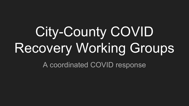# City-County COVID Recovery Working Groups

A coordinated COVID response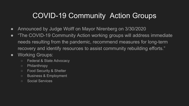### COVID-19 Community Action Groups

- Announced by Judge Wolff on Mayor Nirenberg on 3/30/2020
- "The COVID-19 Community Action working groups will address immediate needs resulting from the pandemic, recommend measures for long-term recovery and identify resources to assist community rebuilding efforts."
- Working Groups:
	- Federal & State Advocacy
	- Philanthropy
	- Food Security & Shelter
	- Business & Employment
	- Social Services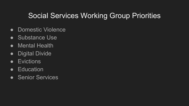#### Social Services Working Group Priorities

- Domestic Violence
- Substance Use
- Mental Health
- Digital Divide
- Evictions
- Education
- Senior Services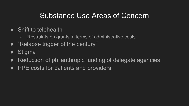#### Substance Use Areas of Concern

- Shift to telehealth
	- Restraints on grants in terms of administrative costs
- "Relapse trigger of the century"
- Stigma
- Reduction of philanthropic funding of delegate agencies
- PPE costs for patients and providers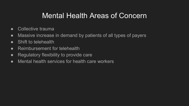#### Mental Health Areas of Concern

- Collective trauma
- Massive increase in demand by patients of all types of payers
- Shift to telehealth
- Reimbursement for telehealth
- Regulatory flexibility to provide care
- Mental health services for health care workers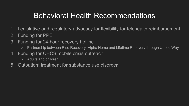#### Behavioral Health Recommendations

- 1. Legislative and regulatory advocacy for flexibility for telehealth reimbursement
- 2. Funding for PPE
- 3. Funding for 24-hour recovery hotline
	- Partnership between Rise Recovery, Alpha Home and Lifetime Recovery through United Way
- 4. Funding for CHCS mobile crisis outreach
	- Adults and children
- 5. Outpatient treatment for substance use disorder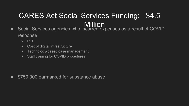## CARES Act Social Services Funding: \$4.5 **Million**

- Social Services agencies who incurred expenses as a result of COVID response
	- PPE
	- Cost of digital infrastructure
	- Technology-based case management
	- Staff training for COVID procedures

● \$750,000 earmarked for substance abuse